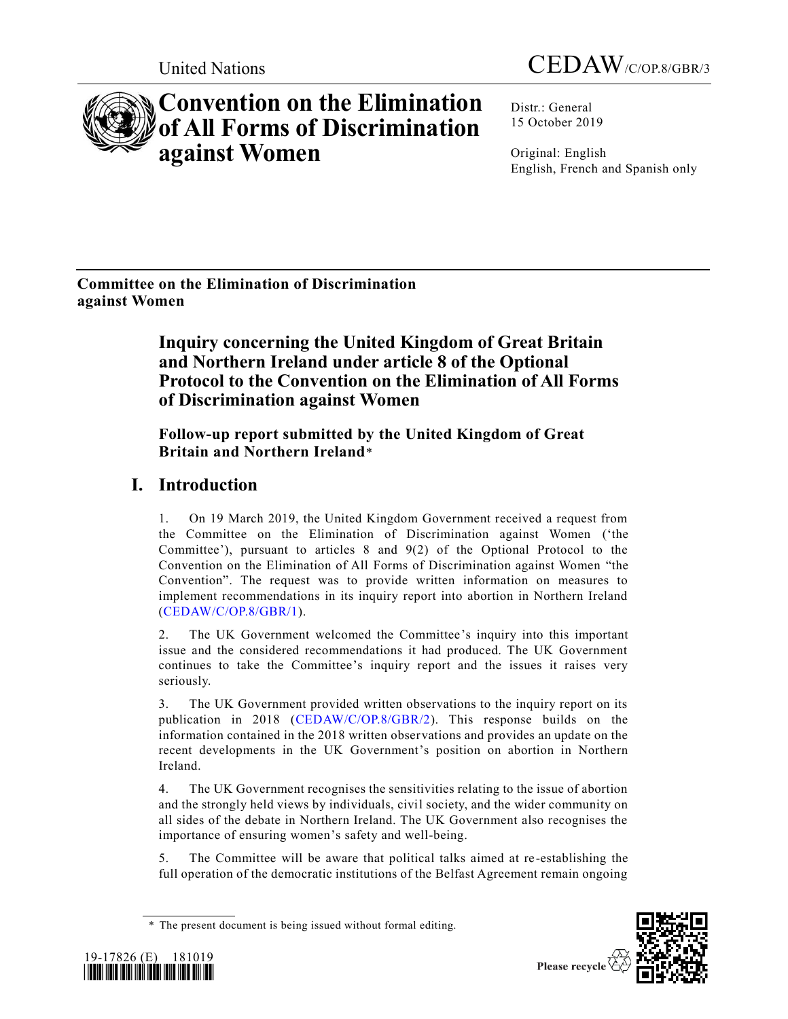



# **Convention on the Elimination of All Forms of Discrimination against Women**

Distr.: General 15 October 2019

Original: English English, French and Spanish only

**Committee on the Elimination of Discrimination against Women** 

## **Inquiry concerning the United Kingdom of Great Britain and Northern Ireland under article 8 of the Optional Protocol to the Convention on the Elimination of All Forms of Discrimination against Women**

#### **Follow-up report submitted by the United Kingdom of Great Britain and Northern Ireland**\*

## **I. Introduction**

1. On 19 March 2019, the United Kingdom Government received a request from the Committee on the Elimination of Discrimination against Women ('the Committee'), pursuant to articles 8 and 9(2) of the Optional Protocol to the Convention on the Elimination of All Forms of Discrimination against Women "the Convention". The request was to provide written information on measures to implement recommendations in its inquiry report into abortion in Northern Ireland [\(CEDAW/C/OP.8/GBR/1\)](https://undocs.org/CEDAW/C/OP.8/GBR/1).

2. The UK Government welcomed the Committee's inquiry into this important issue and the considered recommendations it had produced. The UK Government continues to take the Committee's inquiry report and the issues it raises very seriously.

3. The UK Government provided written observations to the inquiry report on its publication in 2018 [\(CEDAW/C/OP.8/GBR/2\)](https://undocs.org/CEDAW/C/OP.8/GBR/2). This response builds on the information contained in the 2018 written observations and provides an update on the recent developments in the UK Government's position on abortion in Northern Ireland.

4. The UK Government recognises the sensitivities relating to the issue of abortion and the strongly held views by individuals, civil society, and the wider community on all sides of the debate in Northern Ireland. The UK Government also recognises the importance of ensuring women's safety and well-being.

5. The Committee will be aware that political talks aimed at re-establishing the full operation of the democratic institutions of the Belfast Agreement remain ongoing





<sup>\*</sup> The present document is being issued without formal editing.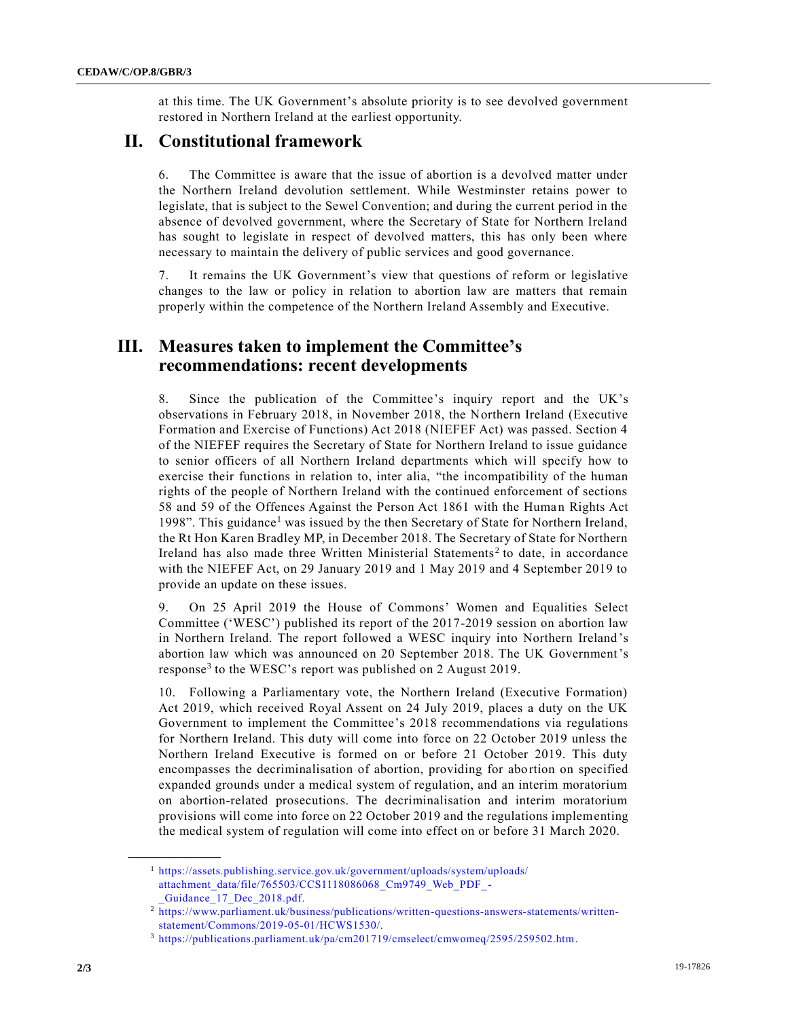at this time. The UK Government's absolute priority is to see devolved government restored in Northern Ireland at the earliest opportunity.

#### **II. Constitutional framework**

6. The Committee is aware that the issue of abortion is a devolved matter under the Northern Ireland devolution settlement. While Westminster retains power to legislate, that is subject to the Sewel Convention; and during the current period in the absence of devolved government, where the Secretary of State for Northern Ireland has sought to legislate in respect of devolved matters, this has only been where necessary to maintain the delivery of public services and good governance.

7. It remains the UK Government's view that questions of reform or legislative changes to the law or policy in relation to abortion law are matters that remain properly within the competence of the Northern Ireland Assembly and Executive.

#### **III. Measures taken to implement the Committee's recommendations: recent developments**

8. Since the publication of the Committee's inquiry report and the UK's observations in February 2018, in November 2018, the Northern Ireland (Executive Formation and Exercise of Functions) Act 2018 (NIEFEF Act) was passed. Section 4 of the NIEFEF requires the Secretary of State for Northern Ireland to issue guidance to senior officers of all Northern Ireland departments which will specify how to exercise their functions in relation to, inter alia, "the incompatibility of the human rights of the people of Northern Ireland with the continued enforcement of sections 58 and 59 of the Offences Against the Person Act 1861 with the Human Rights Act 1998". This guidance<sup>1</sup> was issued by the then Secretary of State for Northern Ireland, the Rt Hon Karen Bradley MP, in December 2018. The Secretary of State for Northern Ireland has also made three Written Ministerial Statements<sup>2</sup> to date, in accordance with the NIEFEF Act, on 29 January 2019 and 1 May 2019 and 4 September 2019 to provide an update on these issues.

9. On 25 April 2019 the House of Commons' Women and Equalities Select Committee ('WESC') published its report of the 2017-2019 session on abortion law in Northern Ireland. The report followed a WESC inquiry into Northern Ireland 's abortion law which was announced on 20 September 2018. The UK Government's response<sup>3</sup> to the WESC's report was published on 2 August 2019.

10. Following a Parliamentary vote, the Northern Ireland (Executive Formation) Act 2019, which received Royal Assent on 24 July 2019, places a duty on the UK Government to implement the Committee's 2018 recommendations via regulations for Northern Ireland. This duty will come into force on 22 October 2019 unless the Northern Ireland Executive is formed on or before 21 October 2019. This duty encompasses the decriminalisation of abortion, providing for abortion on specified expanded grounds under a medical system of regulation, and an interim moratorium on abortion-related prosecutions. The decriminalisation and interim moratorium provisions will come into force on 22 October 2019 and the regulations implementing the medical system of regulation will come into effect on or before 31 March 2020.

**\_\_\_\_\_\_\_\_\_\_\_\_\_\_\_\_\_\_**

<sup>1</sup> [https://assets.publishing.service.gov.uk/government/uploads/system/uploads/](https://assets.publishing.service.gov.uk/government/uploads/system/uploads/attachment_data/file/765503/CCS1118086068_Cm9749_Web_PDF_-_Guidance_17_Dec_2018.pdf) [attachment\\_data/file/765503/CCS1118086068\\_Cm9749\\_Web\\_PDF\\_-](https://assets.publishing.service.gov.uk/government/uploads/system/uploads/attachment_data/file/765503/CCS1118086068_Cm9749_Web_PDF_-_Guidance_17_Dec_2018.pdf) [\\_Guidance\\_17\\_Dec\\_2018.pdf.](https://assets.publishing.service.gov.uk/government/uploads/system/uploads/attachment_data/file/765503/CCS1118086068_Cm9749_Web_PDF_-_Guidance_17_Dec_2018.pdf)

<sup>2</sup> [https://www.parliament.uk/business/publications/written-questions-answers-statements/written](https://www.parliament.uk/business/publications/written-questions-answers-statements/written-statement/Commons/2019-05-01/HCWS1530/)[statement/Commons/2019-05-01/HCWS1530/.](https://www.parliament.uk/business/publications/written-questions-answers-statements/written-statement/Commons/2019-05-01/HCWS1530/)

<sup>3</sup> [https://publications.parliament.uk/pa/cm201719/cmselect/cmwomeq/2595/259502.htm.](https://publications.parliament.uk/pa/cm201719/cmselect/cmwomeq/2595/259502.htm)